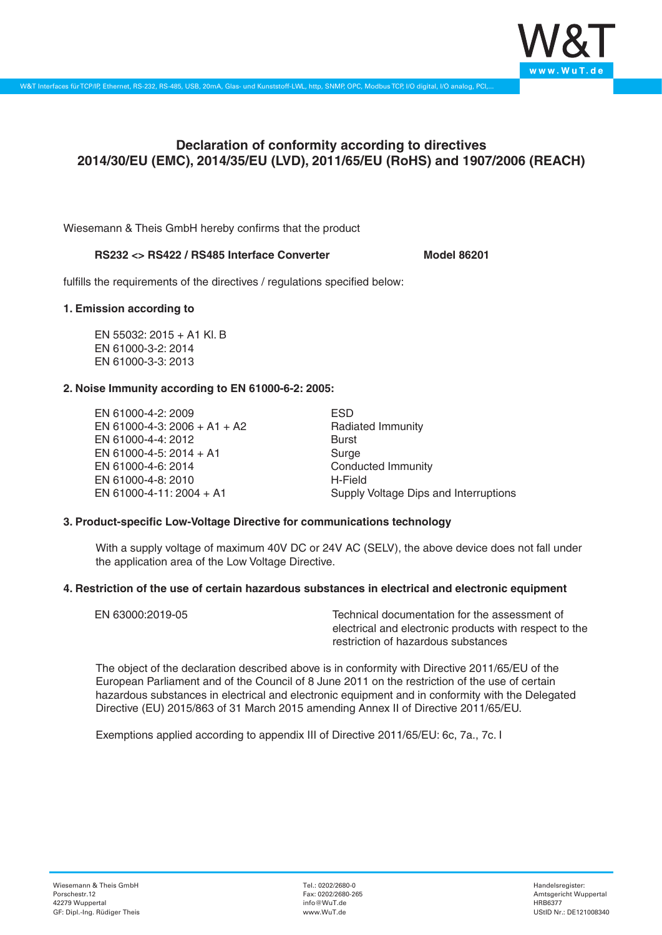

# **Declaration of conformity according to directives 2014/30/EU (EMC), 2014/35/EU (LVD), 2011/65/EU (RoHS) and 1907/2006 (REACH)**

Wiesemann & Theis GmbH hereby confirms that the product

# **RS232 <> RS422 / RS485 Interface Converter Model 86201**

fulfills the requirements of the directives / regulations specified below:

#### **1. Emission according to**

EN 55032: 2015 + A1 Kl. B EN 61000-3-2: 2014 EN 61000-3-3: 2013

# **2. Noise Immunity according to EN 61000-6-2: 2005:**

EN 61000-4-2: 2009 EN 61000-4-3: 2006 + A1 + A2 EN 61000-4-4: 2012 EN 61000-4-5: 2014 + A1 EN 61000-4-6: 2014 EN 61000-4-8: 2010 EN 61000-4-11: 2004 + A1

ESD Radiated Immunity Burst Surge Conducted Immunity H-Field Supply Voltage Dips and Interruptions

# **3. Product-specific Low-Voltage Directive for communications technology**

With a supply voltage of maximum 40V DC or 24V AC (SELV), the above device does not fall under the application area of the Low Voltage Directive.

#### **4. Restriction of the use of certain hazardous substances in electrical and electronic equipment**

| EN 63000:2019-05 | Technical documentation for the assessment of          |
|------------------|--------------------------------------------------------|
|                  | electrical and electronic products with respect to the |
|                  | restriction of hazardous substances                    |

The object of the declaration described above is in conformity with Directive 2011/65/EU of the European Parliament and of the Council of 8 June 2011 on the restriction of the use of certain hazardous substances in electrical and electronic equipment and in conformity with the Delegated Directive (EU) 2015/863 of 31 March 2015 amending Annex II of Directive 2011/65/EU.

Exemptions applied according to appendix III of Directive 2011/65/EU: 6c, 7a., 7c. I